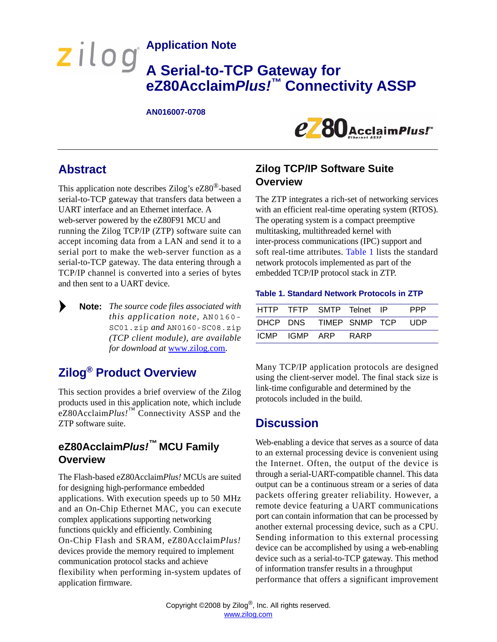# **Application Note A Serial-to-TCP Gateway for eZ80Acclaim***Plus!™* **Connectivity ASSP**

#### **AN016007-0708**



# **Abstract**

▶

This application note describes Zilog's eZ80®-based serial-to-TCP gateway that transfers data between a UART interface and an Ethernet interface. A web-server powered by the eZ80F91 MCU and running the Zilog TCP/IP (ZTP) software suite can accept incoming data from a LAN and send it to a serial port to make the web-server function as a serial-to-TCP gateway. The data entering through a TCP/IP channel is converted into a series of bytes and then sent to a UART device.

*The source code files associated with* **Note:** *this application note,* AN0160- SC01.zip *and* AN0160-SC08.zip *(TCP client module), are available for download at* [www.zilog.com.](http://www.zilog.com)

# **Zilog® Product Overview**

This section provides a brief overview of the Zilog products used in this application note, which include eZ80Acclaim*Plus!*™ Connectivity ASSP and the ZTP software suite.

# **eZ80Acclaim***Plus!™* **MCU Family Overview**

The Flash-based eZ80Acclaim*Plus!* MCUs are suited for designing high-performance embedded applications. With execution speeds up to 50 MHz and an On-Chip Ethernet MAC, you can execute complex applications supporting networking functions quickly and efficiently. Combining On-Chip Flash and SRAM, eZ80Acclaim*Plus!* devices provide the memory required to implement communication protocol stacks and achieve flexibility when performing in-system updates of application firmware.

## **Zilog TCP/IP Software Suite Overview**

The ZTP integrates a rich-set of networking services with an efficient real-time operating system (RTOS). The operating system is a compact preemptive multitasking, multithreaded kernel with inter-process communications (IPC) support and soft real-time attributes. [Table 1](#page-0-0) lists the standard network protocols implemented as part of the embedded TCP/IP protocol stack in ZTP.

#### <span id="page-0-0"></span>**Table 1. Standard Network Protocols in ZTP**

|               | HTTP TFTP SMTP Telnet IP |      | <b>PPP</b> |
|---------------|--------------------------|------|------------|
|               | DHCP DNS TIMEP SNMP TCP  |      | <b>UDP</b> |
| ICMP IGMP ARP |                          | RARP |            |

Many TCP/IP application protocols are designed using the client-server model. The final stack size is link-time configurable and determined by the protocols included in the build.

# **Discussion**

Web-enabling a device that serves as a source of data to an external processing device is convenient using the Internet. Often, the output of the device is through a serial-UART-compatible channel. This data output can be a continuous stream or a series of data packets offering greater reliability. However, a remote device featuring a UART communications port can contain information that can be processed by another external processing device, such as a CPU. Sending information to this external processing device can be accomplished by using a web-enabling device such as a serial-to-TCP gateway. This method of information transfer results in a throughput performance that offers a significant improvement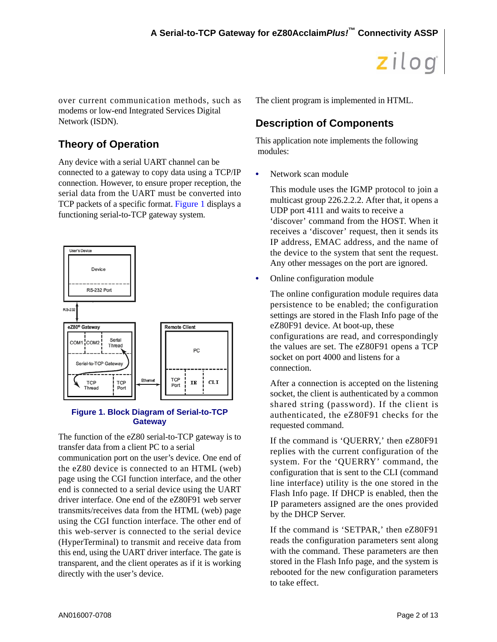over current communication methods, such as modems or low-end Integrated Services Digital Network (ISDN).

# **Theory of Operation**

Any device with a serial UART channel can be connected to a gateway to copy data using a TCP/IP connection. However, to ensure proper reception, the serial data from the UART must be converted into TCP packets of a specific format. [Figure 1](#page-1-0) displays a functioning serial-to-TCP gateway system.



### <span id="page-1-0"></span>**Figure 1. Block Diagram of Serial-to-TCP Gateway**

The function of the eZ80 serial-to-TCP gateway is to transfer data from a client PC to a serial

communication port on the user's device. One end of the eZ80 device is connected to an HTML (web) page using the CGI function interface, and the other end is connected to a serial device using the UART driver interface. One end of the eZ80F91 web server transmits/receives data from the HTML (web) page using the CGI function interface. The other end of this web-server is connected to the serial device (HyperTerminal) to transmit and receive data from this end, using the UART driver interface. The gate is transparent, and the client operates as if it is working directly with the user's device.

The client program is implemented in HTML.

# **Description of Components**

This application note implements the following modules:

**•** Network scan module

This module uses the IGMP protocol to join a multicast group 226.2.2.2. After that, it opens a UDP port 4111 and waits to receive a 'discover' command from the HOST. When it receives a 'discover' request, then it sends its IP address, EMAC address, and the name of the device to the system that sent the request. Any other messages on the port are ignored.

**•** Online configuration module

The online configuration module requires data persistence to be enabled; the configuration settings are stored in the Flash Info page of the eZ80F91 device. At boot-up, these configurations are read, and correspondingly the values are set. The eZ80F91 opens a TCP socket on port 4000 and listens for a connection.

After a connection is accepted on the listening socket, the client is authenticated by a common shared string (password). If the client is authenticated, the eZ80F91 checks for the requested command.

If the command is 'QUERRY,' then eZ80F91 replies with the current configuration of the system. For the 'QUERRY' command, the configuration that is sent to the CLI (command line interface) utility is the one stored in the Flash Info page. If DHCP is enabled, then the IP parameters assigned are the ones provided by the DHCP Server.

If the command is 'SETPAR,' then eZ80F91 reads the configuration parameters sent along with the command. These parameters are then stored in the Flash Info page, and the system is rebooted for the new configuration parameters to take effect.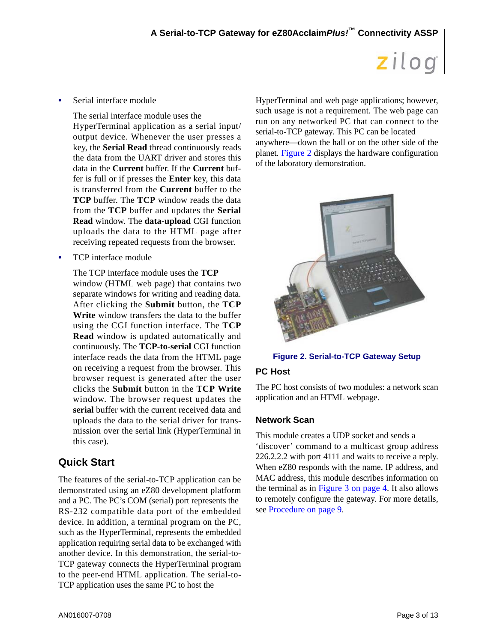• Serial interface module

The serial interface module uses the HyperTerminal application as a serial input/ output device. Whenever the user presses a key, the **Serial Read** thread continuously reads the data from the UART driver and stores this data in the **Current** buffer. If the **Current** buffer is full or if presses the **Enter** key, this data is transferred from the **Current** buffer to the **TCP** buffer. The **TCP** window reads the data from the **TCP** buffer and updates the **Serial Read** window. The **data-upload** CGI function uploads the data to the HTML page after receiving repeated requests from the browser.

**•** TCP interface module

The TCP interface module uses the **TCP** window (HTML web page) that contains two separate windows for writing and reading data. After clicking the **Submit** button, the **TCP Write** window transfers the data to the buffer using the CGI function interface. The **TCP Read** window is updated automatically and continuously. The **TCP-to-serial** CGI function interface reads the data from the HTML page on receiving a request from the browser. This browser request is generated after the user clicks the **Submit** button in the **TCP Write** window. The browser request updates the **serial** buffer with the current received data and uploads the data to the serial driver for transmission over the serial link (HyperTerminal in this case).

## <span id="page-2-1"></span>**Quick Start**

The features of the serial-to-TCP application can be demonstrated using an eZ80 development platform and a PC. The PC's COM (serial) port represents the RS-232 compatible data port of the embedded device. In addition, a terminal program on the PC, such as the HyperTerminal, represents the embedded application requiring serial data to be exchanged with another device. In this demonstration, the serial-to-TCP gateway connects the HyperTerminal program to the peer-end HTML application. The serial-to-TCP application uses the same PC to host the

HyperTerminal and web page applications; however, such usage is not a requirement. The web page can run on any networked PC that can connect to the serial-to-TCP gateway. This PC can be located anywhere—down the hall or on the other side of the planet. [Figure 2](#page-2-0) displays the hardware configuration of the laboratory demonstration.



**Figure 2. Serial-to-TCP Gateway Setup**

## <span id="page-2-0"></span>**PC Host**

The PC host consists of two modules: a network scan application and an HTML webpage.

## **Network Scan**

This module creates a UDP socket and sends a 'discover' command to a multicast group address 226.2.2.2 with port 4111 and waits to receive a reply. When eZ80 responds with the name, IP address, and MAC address, this module describes information on the terminal as in [Figure 3 on page 4.](#page-3-0) It also allows to remotely configure the gateway. For more details, see [Procedure on page 9](#page-8-0).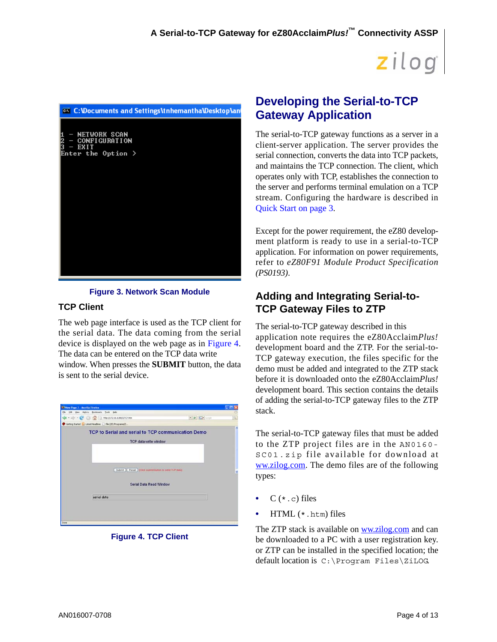

### **Figure 3. Network Scan Module**

### <span id="page-3-0"></span>**TCP Client**

The web page interface is used as the TCP client for the serial data. The data coming from the serial device is displayed on the web page as in [Figure 4](#page-3-1). The data can be entered on the TCP data write window. When presses the **SUBMIT** button, the data is sent to the serial device.

| 53 New Page 7 Mezilla Firefox                                                                          |                                    | н  |
|--------------------------------------------------------------------------------------------------------|------------------------------------|----|
| Elle Edit yew History Bookmarks Tools Help                                                             |                                    |    |
| $\left \mathbf{a}\cdot\mathbf{b}\right \cdot\mathbf{C}$ $\odot$ $\mathbf{C}$ $\odot$ we mix assessions | $\bullet$ <b>B</b> $G$ is the part | ū, |
| Getting Started   Lobest Headlines   File:///E:/Programmi/Z                                            |                                    |    |
| TCP to Serial and serial to TCP communication Demo                                                     |                                    | ۸  |
| TCP data write window                                                                                  |                                    |    |
|                                                                                                        |                                    |    |
|                                                                                                        |                                    |    |
|                                                                                                        |                                    |    |
| Submit   Reset   (Click submit button to send TCP data)                                                |                                    |    |
| Serial Data Read Window                                                                                |                                    |    |
|                                                                                                        |                                    |    |
| serial data                                                                                            |                                    |    |
|                                                                                                        |                                    |    |
|                                                                                                        |                                    |    |
|                                                                                                        |                                    |    |
| Done                                                                                                   |                                    |    |

### <span id="page-3-1"></span>**Figure 4. TCP Client**

# **Developing the Serial-to-TCP Gateway Application**

The serial-to-TCP gateway functions as a server in a client-server application. The server provides the serial connection, converts the data into TCP packets, and maintains the TCP connection. The client, which operates only with TCP, establishes the connection to the server and performs terminal emulation on a TCP stream. Configuring the hardware is described in [Quick Start on page 3.](#page-2-1)

Except for the power requirement, the eZ80 development platform is ready to use in a serial-to-TCP application. For information on power requirements, refer to *eZ80F91 Module Product Specification (PS0193)*.

## **Adding and Integrating Serial-to-TCP Gateway Files to ZTP**

The serial-to-TCP gateway described in this application note requires the eZ80Acclaim*Plus!* development board and the ZTP. For the serial-to-TCP gateway execution, the files specific for the demo must be added and integrated to the ZTP stack before it is downloaded onto the eZ80Acclaim*Plus!* development board. This section contains the details of adding the serial-to-TCP gateway files to the ZTP stack.

The serial-to-TCP gateway files that must be added to the ZTP project files are in the AN0160- SC01.zip file available for download at [ww.zilog.com](http://www.zilog.com). The demo files are of the following types:

- $C$  ( $\star$ .c) files
- **•** HTML (\*.htm) files

The ZTP stack is available on [ww.zilog.com](http://www.zilog.com) and can be downloaded to a PC with a user registration key. or ZTP can be installed in the specified location; the default location is C:\Program Files\ZiLOG.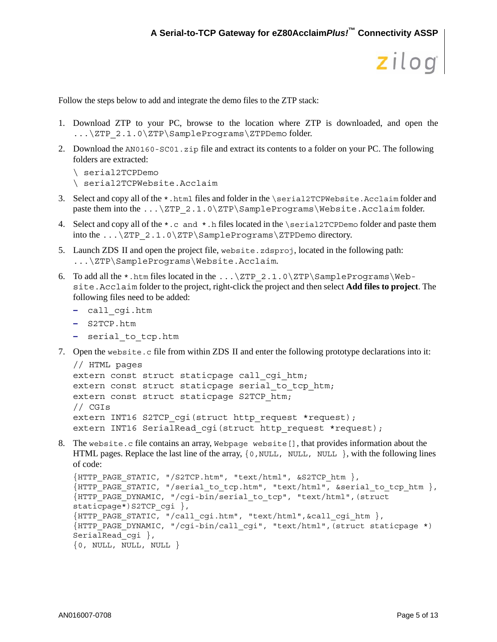Follow the steps below to add and integrate the demo files to the ZTP stack:

- 1. Download ZTP to your PC, browse to the location where ZTP is downloaded, and open the ...\ZTP\_2.1.0\ZTP\SamplePrograms\ZTPDemo folder.
- 2. Download the AN0160-SC01.zip file and extract its contents to a folder on your PC. The following folders are extracted:

```
\ serial2TCPDemo
\ serial2TCPWebsite.Acclaim
```
- 3. Select and copy all of the \*.html files and folder in the \serial2TCPWebsite.Acclaim folder and paste them into the ...\ZTP\_2.1.0\ZTP\SamplePrograms\Website.Acclaim folder.
- 4. Select and copy all of the  $\star$ .c and  $\star$ .h files located in the \serial2TCPDemo folder and paste them into the  $\ldots$  \ZTP\_2.1.0\ZTP\SamplePrograms\ZTPDemo directory.
- 5. Launch ZDS II and open the project file, website.zdsproj, located in the following path: ...\ZTP\SamplePrograms\Website.Acclaim.
- 6. To add all the  $*$ .htm files located in the ... \ZTP\_2.1.0\ZTP\SamplePrograms\Website.Acclaim folder to the project, right-click the project and then select **Add files to project**. The following files need to be added:
	- **–** call\_cgi.htm
	- **–** S2TCP.htm
	- **–** serial\_to\_tcp.htm
- 7. Open the website.c file from within ZDS II and enter the following prototype declarations into it:

```
// HTML pages
extern const struct staticpage call cgi htm;
extern const struct staticpage serial to tcp htm;
extern const struct staticpage S2TCP_htm;
// CGIs
extern INT16 S2TCP cgi(struct http request *request);
extern INT16 SerialRead cgi(struct http request *request);
```
8. The website.c file contains an array, Webpage website [], that provides information about the HTML pages. Replace the last line of the array,  $\{0, NULL, NULL\}$ ,  $NULL$ , with the following lines of code:

```
{HTTP_PAGE_STATIC, "/S2TCP.htm", "text/html", &S2TCP_htm },
\{ HTTP_PAGE_STATIC, "/serial to tcp.htm", "text/html", &serial to tcp htm \},
. _ _ _ _<br>{HTTP_PAGE_DYNAMIC, "/cqi-bin/serial_to_tcp", "text/html",(struct)
staticpage*)S2TCP cgi },
{HTTP_PAGE_STATIC, "/call_cgi.htm", "text/html",&call_cgi_htm },
{HTTP_PAGE_DYNAMIC, "/cgi-bin/call_cgi", "text/html",(struct staticpage *) 
SerialRead cgi },
\{0, NULL, NULL, NULL\}
```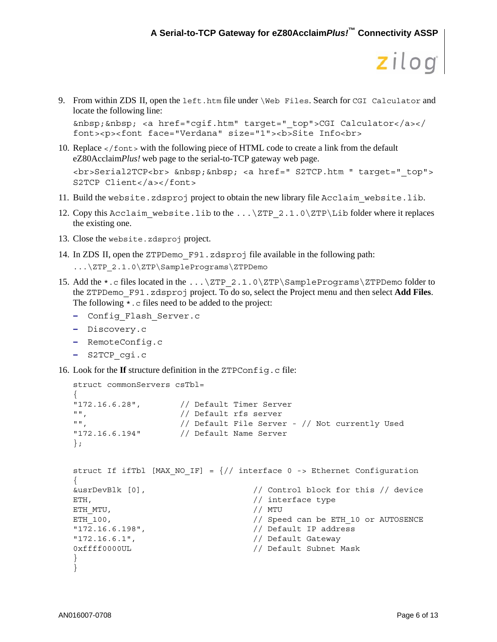```
zilog
```
9. From within ZDS II, open the left.htm file under \Web Files. Search for CGI Calculator and locate the following line:

```
&nbsp;&nbsp; <a href="cgif.htm" target="_top">CGI Calculator</a></
font><p><font face="Verdana" size="1"><b>Site Info<br>
```
- 10. Replace </font> with the following piece of HTML code to create a link from the default eZ80Acclaim*Plus!* web page to the serial-to-TCP gateway web page. <br>>Serial2TCP<br>>>br> &nbsp; <a href=" S2TCP.htm " target=" top"> S2TCP Client</a></font>
- 11. Build the website.zdsproj project to obtain the new library file Acclaim website.lib.
- 12. Copy this Acclaim website.lib to the  $\ldots$   $\ZTP$  2.1.0  $\ZTP\Lib$  folder where it replaces the existing one.
- 13. Close the website.zdsproj project.
- 14. In ZDS II, open the ZTPDemo\_F91.zdsproj file available in the following path:

```
...\ZTP_2.1.0\ZTP\SamplePrograms\ZTPDemo
```
- 15. Add the  $\star$ . c files located in the ... \ZTP\_2.1.0\ZTP\SamplePrograms\ZTPDemo folder to the ZTPDemo\_F91.zdsproj project. To do so, select the Project menu and then select **Add Files**. The following  $\star$ . c files need to be added to the project:
	- **–** Config\_Flash\_Server.c
	- **–** Discovery.c
	- **–** RemoteConfig.c
	- **–** S2TCP\_cgi.c
- <span id="page-5-0"></span>16. Look for the **If** structure definition in the ZTPConfig.c file:

```
struct commonServers csTbl=
{
"172.16.6.28", // Default Timer Server
"", // Default rfs server
"", // Default File Server - // Not currently Used 
"172.16.6.194" // Default Name Server 
};
struct If ifTbl [MAX NO IF] = \frac{1}{1} interface 0 -> Ethernet Configuration
{
&usrDevBlk [0], // Control block for this // device 
ETH, ETH,
ETH_MTU, \frac{1}{2} // MTU
ETH_100, THE RETHANDER CHANNEL CHANNEL AND THE SPEED OF AUTOSENCE
"172.16.6.198", // Default IP address 
"172.16.6.1", // Default Gateway 
0xffff0000UL // Default Subnet Mask 
}
}
```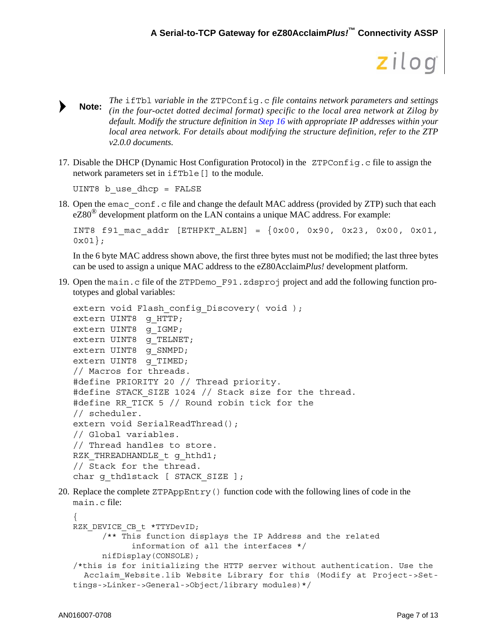- *The* ifTbl *variable in the* ZTPConfig.c *file contains network parameters and settings (in the four-octet dotted decimal format) specific to the local area network at Zilog by default. Modify the structure definition in [Step 16](#page-5-0) with appropriate IP addresses within your local area network. For details about modifying the structure definition, refer to the ZTP v2.0.0 documents.* **Note:**
- 17. Disable the DHCP (Dynamic Host Configuration Protocol) in the ZTPConfig.c file to assign the network parameters set in ifTble[] to the module.

UINT8 b\_use\_dhcp = FALSE

18. Open the emac conf.c file and change the default MAC address (provided by ZTP) such that each  $eZ80^{\circ}$  development platform on the LAN contains a unique MAC address. For example:

```
INT8 f91 mac addr [ETHPKT ALEN] = \{0x00, 0x90, 0x23, 0x00, 0x01,0x01;
```
In the 6 byte MAC address shown above, the first three bytes must not be modified; the last three bytes can be used to assign a unique MAC address to the eZ80Acclaim*Plus!* development platform.

19. Open the main.c file of the ZTPDemo\_F91.zdsproj project and add the following function prototypes and global variables:

```
extern void Flash config Discovery( void );
extern UINT8 q HTTP;
extern UINT8 q IGMP;
extern UINT8 q TELNET;
extern UINT8 q SNMPD;
extern UINT8 g TIMED;
// Macros for threads.
#define PRIORITY 20 // Thread priority.
#define STACK SIZE 1024 // Stack size for the thread.
#define RR TICK 5 // Round robin tick for the
// scheduler.
extern void SerialReadThread();
// Global variables.
// Thread handles to store.
RZK THREADHANDLE t q hthd1;
// Stack for the thread.
char q thd1stack [ STACK SIZE ];
```
20. Replace the complete ZTPAppEntry() function code with the following lines of code in the main.c file:

```
{
RZK DEVICE CB t *TTYDevID;
      /** This function displays the IP Address and the related 
            information of all the interfaces */
     nifDisplay(CONSOLE);
/*this is for initializing the HTTP server without authentication. Use the 
   Acclaim_Website.lib Website Library for this (Modify at Project->Set-
tings->Linker->General->Object/library modules)*/
```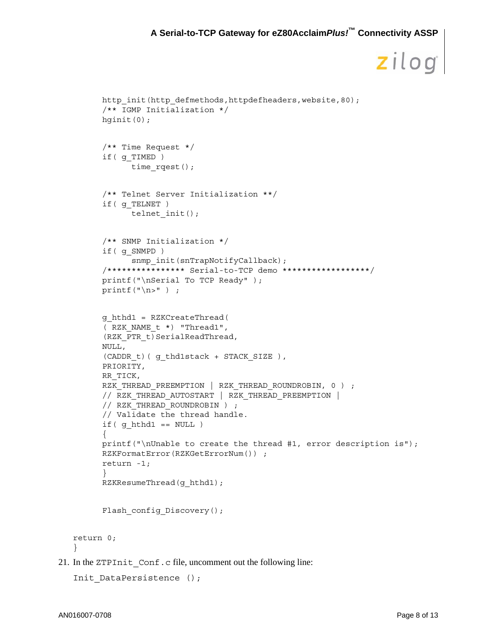```
http_init(http_defmethods,httpdefheaders,website,80);
         /** IGMP Initialization */
         hginit(0);
         /** Time Request */
         if( g_TIMED )
               time rqest();
         /** Telnet Server Initialization **/
         if( g_TELNET )
               telnet init();
         /** SNMP Initialization */
         if( g_SNMPD )
               snmp_init(snTrapNotifyCallback);
         /**************** Serial-to-TCP demo ******************/
         printf("\nSerial To TCP Ready" );
         printf(''\n'') ;
         g_hthd1 = RZKCreateThread(
         ( RZK_NAME_t *) "Thread1",
         (RZK_PTR_t)SerialReadThread,
         NULL,
         (CADDR_t)( g_thd1stack + STACK_SIZE ),
         PRIORITY,
         RR_TICK,
         RZK THREAD PREEMPTION | RZK THREAD ROUNDROBIN, 0 ) ;
         // RZK_THREAD_AUTOSTART | RZK_THREAD_PREEMPTION |
         // RZK THREAD ROUNDROBIN ) ;
         // Validate the thread handle.
         if( g hthd1 == NULL ){
         printf("\nUnable to create the thread #1, error description is");
         RZKFormatError(RZKGetErrorNum()) ;
         return -1;
         }
         RZKResumeThread(g hthd1);
         Flash config Discovery();
   return 0;
21. In the ZTPInit_Conf.c file, uncomment out the following line:
   Init DataPersistence ();
```
}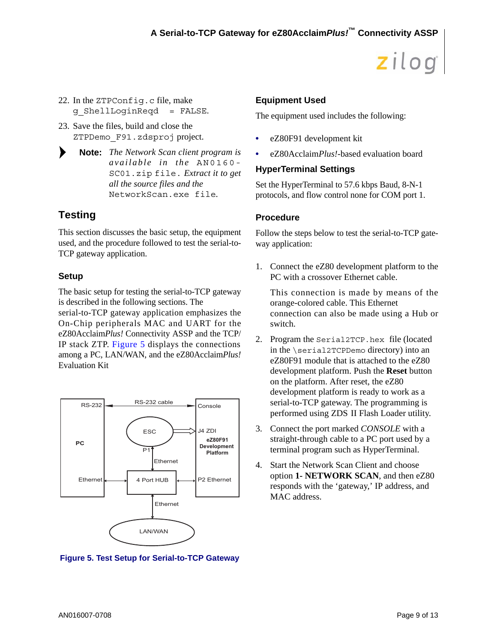- 22. In the ZTPConfig.c file, make g\_ShellLoginReqd = FALSE.
- 23. Save the files, build and close the ZTPDemo\_F91.zdsproj project.
- ▶ *The Network Scan client program is* **Note:** *available in the* AN0160- SC01.zip file. *Extract it to get all the source files and the* NetworkScan.exe file*.*

## **Testing**

This section discusses the basic setup, the equipment used, and the procedure followed to test the serial-to-TCP gateway application.

## **Setup**

The basic setup for testing the serial-to-TCP gateway is described in the following sections. The

serial-to-TCP gateway application emphasizes the On-Chip peripherals MAC and UART for the eZ80Acclaim*Plus!* Connectivity ASSP and the TCP/ IP stack ZTP. [Figure 5](#page-8-1) displays the connections among a PC, LAN/WAN, and the eZ80Acclaim*Plus!* Evaluation Kit



## <span id="page-8-1"></span>**Figure 5. Test Setup for Serial-to-TCP Gateway**

## **Equipment Used**

The equipment used includes the following:

- **•** eZ80F91 development kit
- **•** eZ80Acclaim*Plus!*-based evaluation board

## **HyperTerminal Settings**

Set the HyperTerminal to 57.6 kbps Baud, 8-N-1 protocols, and flow control none for COM port 1.

## <span id="page-8-0"></span>**Procedure**

Follow the steps below to test the serial-to-TCP gateway application:

1. Connect the eZ80 development platform to the PC with a crossover Ethernet cable.

This connection is made by means of the orange-colored cable. This Ethernet connection can also be made using a Hub or switch.

- 2. Program the Serial2TCP.hex file (located in the \serial2TCPDemo directory) into an eZ80F91 module that is attached to the eZ80 development platform. Push the **Reset** button on the platform. After reset, the eZ80 development platform is ready to work as a serial-to-TCP gateway. The programming is performed using ZDS II Flash Loader utility.
- 3. Connect the port marked *CONSOLE* with a straight-through cable to a PC port used by a terminal program such as HyperTerminal.
- 4. Start the Network Scan Client and choose option **1- NETWORK SCAN**, and then eZ80 responds with the 'gateway,' IP address, and MAC address.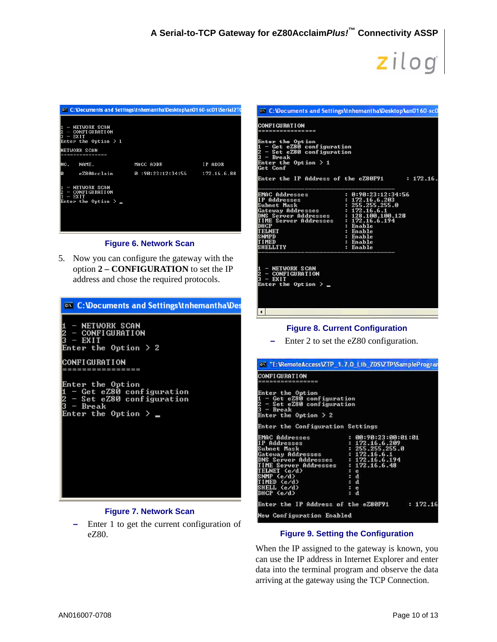| ox C:\Documents and Settings\tnhemantha\Desktop\an0160-sc01\Serial2T(                                        |                   |             |
|--------------------------------------------------------------------------------------------------------------|-------------------|-------------|
| - NETWORK SCAN<br>2<br>3<br>$-$ CONFIGURATION<br>$-$ EXIT<br>Enter the Option $> 1$                          |                   |             |
| NETWORK SCAN                                                                                                 |                   |             |
| MO.<br>NAME.                                                                                                 | MACC ADDR         | IP ADDR     |
| ø<br>eZ80Acclaim                                                                                             | 0 :90:23:12:34:56 | 172.16.6.88 |
| H<br>- NETWORK SCAN<br>$\frac{2}{3}$<br><b>CONFIGURATION</b><br><b>EXIT</b><br>I<br>Enter the Option $>$ $-$ |                   |             |

#### **Figure 6. Network Scan**

5. Now you can configure the gateway with the option **2 – CONFIGURATION** to set the IP address and chose the required protocols.

| <b>EX</b> C: <b>Wocuments and Settings \tnhemanthaWes</b>                                                                               |
|-----------------------------------------------------------------------------------------------------------------------------------------|
| - NETWORK SCAN<br>2<br>3<br>- CONFIGURATION<br>$-$ EXIT<br>Enter the Option $\geq 2$                                                    |
| ICONFI GURAT I ON                                                                                                                       |
| Enter the Option<br>- Get eZ80 configuration<br>$\bar{2} \over 3$<br>- Set eZ80 configuration<br>– Break<br>Enter the Option $\ge$ $\_$ |

### **Figure 7. Network Scan**

**–** Enter 1 to get the current configuration of eZ80.

|                                                                                                                                                                                                            | <b>on</b> C: Wocuments and Settings the hemantha Wesktop Lan0160-sc0                                                                                  |
|------------------------------------------------------------------------------------------------------------------------------------------------------------------------------------------------------------|-------------------------------------------------------------------------------------------------------------------------------------------------------|
| ICONFI GURATI ON<br>================                                                                                                                                                                       |                                                                                                                                                       |
| Enter the Option<br>1 - Get eZ80 configuration<br>2 - Set eZ80 configuration<br>3 - Break<br>Enter the Option $> 1$<br><b>Get Conf</b>                                                                     |                                                                                                                                                       |
| Enter the IP Address of the eZ80F91                                                                                                                                                                        | $: 172.16$ .                                                                                                                                          |
| EMAC Addresses<br>IP Addresses<br>Subnet Mask<br>Gateway Addresses<br>DNS Server Addresses : 128.100.100.128<br>TIME Server Addresses<br>DHCP<br><b>TELNET</b><br>SNMPD<br><b>TIMED</b><br><b>SHELLTTY</b> | : 0:90:23:12:34:56<br>: 172.16.6.203<br>: 255.255.255.0<br>: 172.16.6.1<br>: 172.16.6.194<br>: Enable<br>: Enable<br>: Enable<br>: Enable<br>: Enable |
| 1 - NETWORK SCAN<br>2 - CONFIGURATION<br>3 - EXIT<br>Enter the Option $>$ $\_$                                                                                                                             |                                                                                                                                                       |
| $\left  \cdot \right $                                                                                                                                                                                     |                                                                                                                                                       |

### **Figure 8. Current Configuration**

**–** Enter 2 to set the eZ80 configuration.

|                                                                                                                                                                                                                                                  | Con "E:\RemoteAccess\ZTP_1.7.0 Lib_ZDS\ZTP\SampleProgram                                             |
|--------------------------------------------------------------------------------------------------------------------------------------------------------------------------------------------------------------------------------------------------|------------------------------------------------------------------------------------------------------|
| <b>CONFIGURATION</b><br>-------------------                                                                                                                                                                                                      |                                                                                                      |
| Enter the Option<br>1 - Get eZ80 configuration<br>2 - Set eZ80 configuration<br>3 - Break<br>Enter the Option $> 2$                                                                                                                              |                                                                                                      |
| Enter the Configuration Settings                                                                                                                                                                                                                 |                                                                                                      |
| <b>EMAC Addresses</b><br>IP Addresses<br>Subnet Mask<br>Gateway Addresses : 172.16.6.1<br>DNS Server Addresses : $172.16.6.194$<br>TIME Server Addresses : 172.16.6.48<br>TELNET (e/d)<br>(SNMP (e/d<br>TIMED (e/d)<br>SHELL (e/d)<br>DHCP (e/d) | : 00:90:23:00:01:01<br>: 172.16.6.209<br>: 255.255.255.0<br>$\frac{1}{3}$ e<br>: d<br>$=$ $e$<br>: d |
|                                                                                                                                                                                                                                                  | Enter the IP Address of the eZ80F91 $\qquad$ : 172.16                                                |
| New Configuration Enabled                                                                                                                                                                                                                        |                                                                                                      |

#### **Figure 9. Setting the Configuration**

When the IP assigned to the gateway is known, you can use the IP address in Internet Explorer and enter data into the terminal program and observe the data arriving at the gateway using the TCP Connection.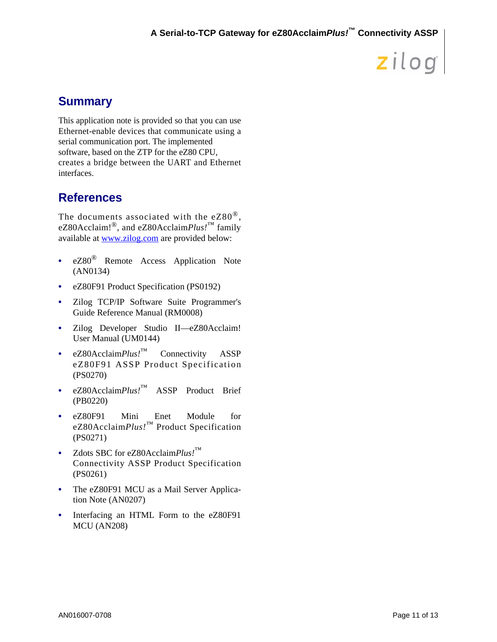# **Summary**

This application note is provided so that you can use Ethernet-enable devices that communicate using a serial communication port. The implemented software, based on the ZTP for the eZ80 CPU, creates a bridge between the UART and Ethernet interfaces.

# **References**

The documents associated with the  $eZ80^{\circledcirc}$ , eZ80Acclaim!®, and eZ80Acclaim*Plus!*™ family available at [www.zilog.com](http://www.zilog.com) are provided below:

- **•** eZ80® Remote Access Application Note (AN0134)
- eZ80F91 Product Specification (PS0192)
- **•** Zilog TCP/IP Software Suite Programmer's Guide Reference Manual (RM0008)
- **•** Zilog Developer Studio II—eZ80Acclaim! User Manual (UM0144)
- **•** eZ80Acclaim*Plus!*™ Connectivity ASSP eZ80F91 ASSP Product Specification (PS0270)
- **•** eZ80Acclaim*Plus!*™ ASSP Product Brief (PB0220)
- **•** eZ80F91 Mini Enet Module for eZ80Acclaim*Plus!*™ Product Specification (PS0271)
- **•** Zdots SBC for eZ80Acclaim*Plus!*™ Connectivity ASSP Product Specification (PS0261)
- The eZ80F91 MCU as a Mail Server Application Note (AN0207)
- Interfacing an HTML Form to the eZ80F91 MCU (AN208)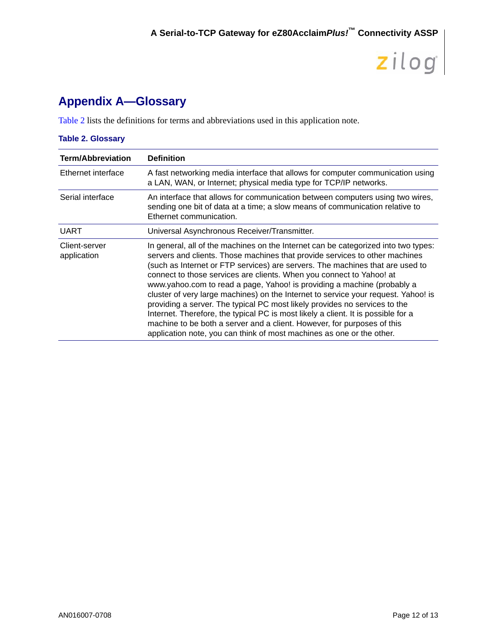# **Appendix A—Glossary**

[Table 2](#page-11-0) lists the definitions for terms and abbreviations used in this application note.

### <span id="page-11-0"></span>**Table 2. Glossary**

| <b>Term/Abbreviation</b>     | <b>Definition</b>                                                                                                                                                                                                                                                                                                                                                                                                                                                                                                                                                                                                                                                                                                                                                                                                  |
|------------------------------|--------------------------------------------------------------------------------------------------------------------------------------------------------------------------------------------------------------------------------------------------------------------------------------------------------------------------------------------------------------------------------------------------------------------------------------------------------------------------------------------------------------------------------------------------------------------------------------------------------------------------------------------------------------------------------------------------------------------------------------------------------------------------------------------------------------------|
| Ethernet interface           | A fast networking media interface that allows for computer communication using<br>a LAN, WAN, or Internet; physical media type for TCP/IP networks.                                                                                                                                                                                                                                                                                                                                                                                                                                                                                                                                                                                                                                                                |
| Serial interface             | An interface that allows for communication between computers using two wires,<br>sending one bit of data at a time; a slow means of communication relative to<br>Ethernet communication.                                                                                                                                                                                                                                                                                                                                                                                                                                                                                                                                                                                                                           |
| <b>UART</b>                  | Universal Asynchronous Receiver/Transmitter.                                                                                                                                                                                                                                                                                                                                                                                                                                                                                                                                                                                                                                                                                                                                                                       |
| Client-server<br>application | In general, all of the machines on the Internet can be categorized into two types:<br>servers and clients. Those machines that provide services to other machines<br>(such as Internet or FTP services) are servers. The machines that are used to<br>connect to those services are clients. When you connect to Yahoo! at<br>www.yahoo.com to read a page, Yahoo! is providing a machine (probably a<br>cluster of very large machines) on the Internet to service your request. Yahoo! is<br>providing a server. The typical PC most likely provides no services to the<br>Internet. Therefore, the typical PC is most likely a client. It is possible for a<br>machine to be both a server and a client. However, for purposes of this<br>application note, you can think of most machines as one or the other. |

zilog